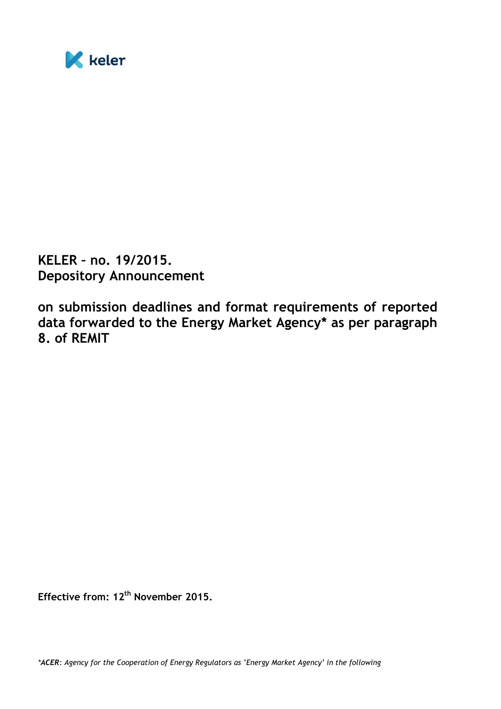

**KELER – no. 19/2015. Depository Announcement** 

**on submission deadlines and format requirements of reported data forwarded to the Energy Market Agency\* as per paragraph 8. of REMIT**

**Effective from: 12 th November 2015.**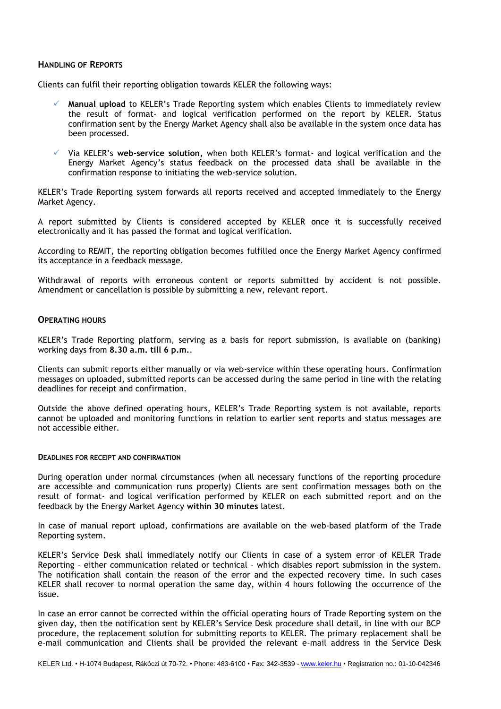## **HANDLING OF REPORTS**

Clients can fulfil their reporting obligation towards KELER the following ways:

- **Manual upload** to KELER's Trade Reporting system which enables Clients to immediately review the result of format- and logical verification performed on the report by KELER. Status confirmation sent by the Energy Market Agency shall also be available in the system once data has been processed.
- Via KELER's **web-service solution,** when both KELER's format- and logical verification and the Energy Market Agency's status feedback on the processed data shall be available in the confirmation response to initiating the web-service solution.

KELER's Trade Reporting system forwards all reports received and accepted immediately to the Energy Market Agency.

A report submitted by Clients is considered accepted by KELER once it is successfully received electronically and it has passed the format and logical verification.

According to REMIT, the reporting obligation becomes fulfilled once the Energy Market Agency confirmed its acceptance in a feedback message.

Withdrawal of reports with erroneous content or reports submitted by accident is not possible. Amendment or cancellation is possible by submitting a new, relevant report.

## **OPERATING HOURS**

KELER's Trade Reporting platform, serving as a basis for report submission, is available on (banking) working days from **8.30 a.m. till 6 p.m.**.

Clients can submit reports either manually or via web-service within these operating hours. Confirmation messages on uploaded, submitted reports can be accessed during the same period in line with the relating deadlines for receipt and confirmation.

Outside the above defined operating hours, KELER's Trade Reporting system is not available, reports cannot be uploaded and monitoring functions in relation to earlier sent reports and status messages are not accessible either.

## **DEADLINES FOR RECEIPT AND CONFIRMATION**

During operation under normal circumstances (when all necessary functions of the reporting procedure are accessible and communication runs properly) Clients are sent confirmation messages both on the result of format- and logical verification performed by KELER on each submitted report and on the feedback by the Energy Market Agency **within 30 minutes** latest.

In case of manual report upload, confirmations are available on the web-based platform of the Trade Reporting system.

KELER's Service Desk shall immediately notify our Clients in case of a system error of KELER Trade Reporting – either communication related or technical – which disables report submission in the system. The notification shall contain the reason of the error and the expected recovery time. In such cases KELER shall recover to normal operation the same day, within 4 hours following the occurrence of the issue.

In case an error cannot be corrected within the official operating hours of Trade Reporting system on the given day, then the notification sent by KELER's Service Desk procedure shall detail, in line with our BCP procedure, the replacement solution for submitting reports to KELER. The primary replacement shall be e-mail communication and Clients shall be provided the relevant e-mail address in the Service Desk

KELER Ltd. • H-1074 Budapest, Rákóczi út 70-72. • Phone: 483-6100 • Fax: 342-3539 - [www.keler.hu](http://www.keler.hu/) • Registration no.: 01-10-042346